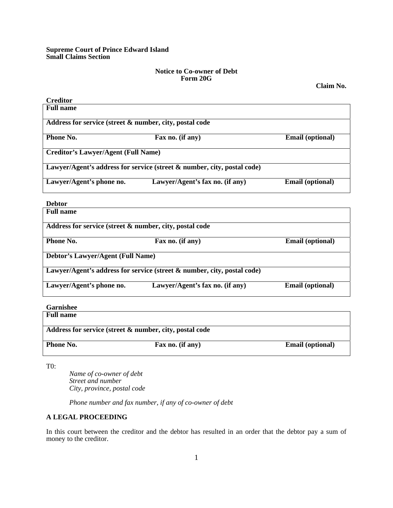# **Supreme Court of Prince Edward Island Small Claims Section**

## **Notice to Co-owner of Debt Form 20G**

**Claim No.** 

┑

| <b>Creditor</b>                                                         |                                 |                         |  |  |
|-------------------------------------------------------------------------|---------------------------------|-------------------------|--|--|
| <b>Full name</b>                                                        |                                 |                         |  |  |
| Address for service (street & number, city, postal code                 |                                 |                         |  |  |
| <b>Phone No.</b>                                                        | Fax no. (if any)                | <b>Email</b> (optional) |  |  |
| <b>Creditor's Lawyer/Agent (Full Name)</b>                              |                                 |                         |  |  |
| Lawyer/Agent's address for service (street & number, city, postal code) |                                 |                         |  |  |
| Lawyer/Agent's phone no.                                                | Lawyer/Agent's fax no. (if any) | <b>Email (optional)</b> |  |  |
|                                                                         |                                 |                         |  |  |

#### **Debtor**

| <b>Full name</b>                                        |                                                                         |                         |
|---------------------------------------------------------|-------------------------------------------------------------------------|-------------------------|
| Address for service (street & number, city, postal code |                                                                         |                         |
| <b>Phone No.</b>                                        | Fax no. (if any)                                                        | <b>Email (optional)</b> |
| <b>Debtor's Lawyer/Agent (Full Name)</b>                |                                                                         |                         |
|                                                         | Lawyer/Agent's address for service (street & number, city, postal code) |                         |
| Lawyer/Agent's phone no.                                | Lawyer/Agent's fax no. (if any)                                         | <b>Email (optional)</b> |

**Garnishee** 

| <b>Full name</b>                                        |                  |                         |  |  |
|---------------------------------------------------------|------------------|-------------------------|--|--|
| Address for service (street & number, city, postal code |                  |                         |  |  |
| <b>Phone No.</b>                                        | Fax no. (if any) | <b>Email</b> (optional) |  |  |

T0:

 *Name of co-owner of debt Street and number City, province, postal code* 

 *Phone number and fax number, if any of co-owner of debt*

# **A LEGAL PROCEEDING**

In this court between the creditor and the debtor has resulted in an order that the debtor pay a sum of money to the creditor.